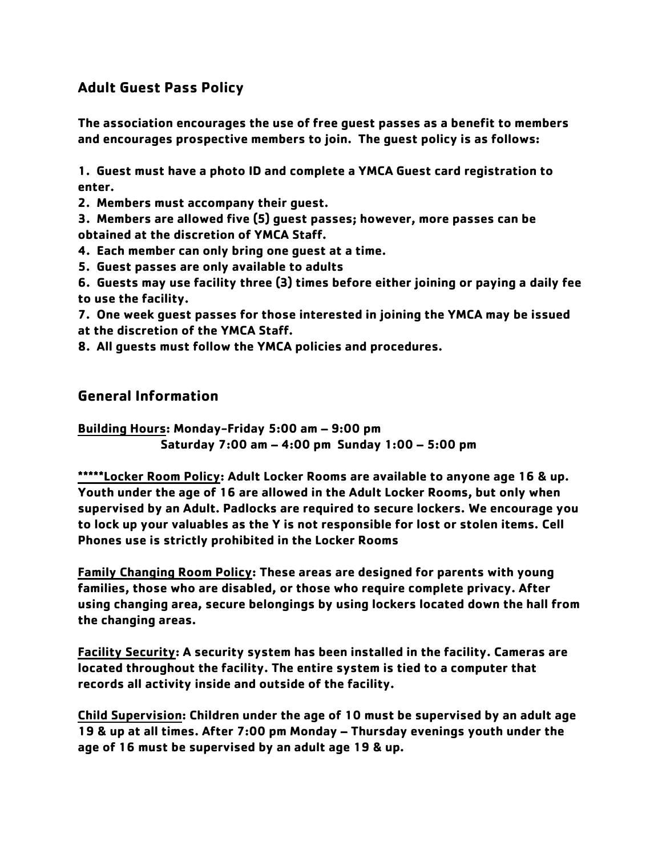# **Adult Guest Pass Policy**

**The association encourages the use of free guest passes as a benefit to members and encourages prospective members to join. The guest policy is as follows:**

**1. Guest must have a photo ID and complete a YMCA Guest card registration to enter.**

**2. Members must accompany their guest.**

**3. Members are allowed five (5) guest passes; however, more passes can be obtained at the discretion of YMCA Staff.**

**4. Each member can only bring one guest at a time.**

**5. Guest passes are only available to adults**

**6. Guests may use facility three (3) times before either joining or paying a daily fee to use the facility.**

**7. One week guest passes for those interested in joining the YMCA may be issued at the discretion of the YMCA Staff.**

**8. All guests must follow the YMCA policies and procedures.**

### **General Information**

**Building Hours: Monday-Friday 5:00 am – 9:00 pm Saturday 7:00 am – 4:00 pm Sunday 1:00 – 5:00 pm**

**\*\*\*\*\*Locker Room Policy: Adult Locker Rooms are available to anyone age 16 & up. Youth under the age of 16 are allowed in the Adult Locker Rooms, but only when supervised by an Adult. Padlocks are required to secure lockers. We encourage you to lock up your valuables as the Y is not responsible for lost or stolen items. Cell Phones use is strictly prohibited in the Locker Rooms**

**Family Changing Room Policy: These areas are designed for parents with young families, those who are disabled, or those who require complete privacy. After using changing area, secure belongings by using lockers located down the hall from the changing areas.**

**Facility Security: A security system has been installed in the facility. Cameras are located throughout the facility. The entire system is tied to a computer that records all activity inside and outside of the facility.**

**Child Supervision: Children under the age of 10 must be supervised by an adult age 19 & up at all times. After 7:00 pm Monday – Thursday evenings youth under the age of 16 must be supervised by an adult age 19 & up.**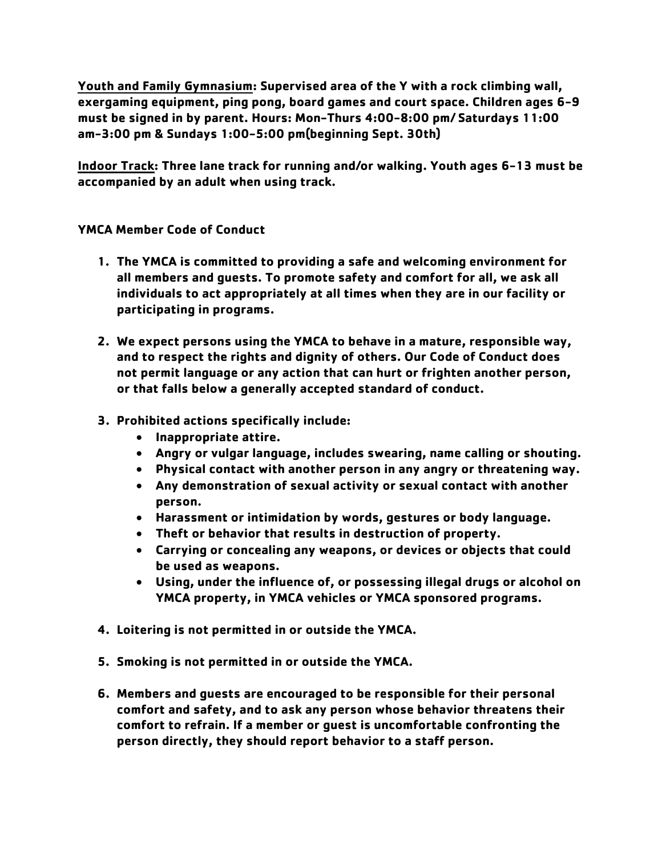**Youth and Family Gymnasium: Supervised area of the Y with a rock climbing wall, exergaming equipment, ping pong, board games and court space. Children ages 6-9 must be signed in by parent. Hours: Mon-Thurs 4:00-8:00 pm/ Saturdays 11:00 am-3:00 pm & Sundays 1:00-5:00 pm(beginning Sept. 30th)**

**Indoor Track: Three lane track for running and/or walking. Youth ages 6-13 must be accompanied by an adult when using track.** 

**YMCA Member Code of Conduct**

- **1. The YMCA is committed to providing a safe and welcoming environment for all members and guests. To promote safety and comfort for all, we ask all individuals to act appropriately at all times when they are in our facility or participating in programs.**
- **2. We expect persons using the YMCA to behave in a mature, responsible way, and to respect the rights and dignity of others. Our Code of Conduct does not permit language or any action that can hurt or frighten another person, or that falls below a generally accepted standard of conduct.**
- **3. Prohibited actions specifically include:** 
	- **Inappropriate attire.**
	- **Angry or vulgar language, includes swearing, name calling or shouting.**
	- **Physical contact with another person in any angry or threatening way.**
	- **Any demonstration of sexual activity or sexual contact with another person.**
	- **Harassment or intimidation by words, gestures or body language.**
	- **Theft or behavior that results in destruction of property.**
	- **Carrying or concealing any weapons, or devices or objects that could be used as weapons.**
	- **Using, under the influence of, or possessing illegal drugs or alcohol on YMCA property, in YMCA vehicles or YMCA sponsored programs.**
- **4. Loitering is not permitted in or outside the YMCA.**
- **5. Smoking is not permitted in or outside the YMCA.**
- **6. Members and guests are encouraged to be responsible for their personal comfort and safety, and to ask any person whose behavior threatens their comfort to refrain. If a member or guest is uncomfortable confronting the person directly, they should report behavior to a staff person.**